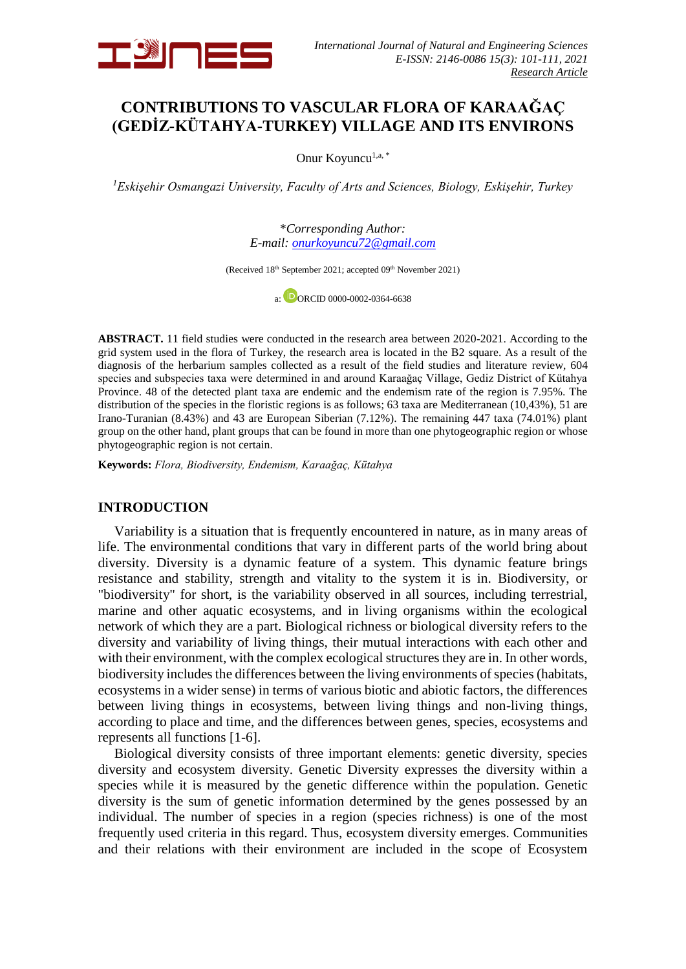

# **CONTRIBUTIONS TO VASCULAR FLORA OF KARAAĞAÇ (GEDİZ-KÜTAHYA-TURKEY) VILLAGE AND ITS ENVIRONS**

Onur Koyuncu<sup>1,a,\*</sup>

*<sup>1</sup>Eskişehir Osmangazi University, Faculty of Arts and Sciences, Biology, Eskişehir, Turkey*

\**Corresponding Author: E-mail: [onurkoyuncu72@gmail.c](mailto:onurkoyuncu72@gmail.)om*

(Received 18<sup>th</sup> September 2021; accepted 09<sup>th</sup> November 2021)

 $a:$  DORCID 0000-0002-0364-6638

**ABSTRACT.** 11 field studies were conducted in the research area between 2020-2021. According to the grid system used in the flora of Turkey, the research area is located in the B2 square. As a result of the diagnosis of the herbarium samples collected as a result of the field studies and literature review, 604 species and subspecies taxa were determined in and around Karaağaç Village, Gediz District of Kütahya Province. 48 of the detected plant taxa are endemic and the endemism rate of the region is 7.95%. The distribution of the species in the floristic regions is as follows; 63 taxa are Mediterranean (10,43%), 51 are Irano-Turanian (8.43%) and 43 are European Siberian (7.12%). The remaining 447 taxa (74.01%) plant group on the other hand, plant groups that can be found in more than one phytogeographic region or whose phytogeographic region is not certain.

**Keywords:** *Flora, Biodiversity, Endemism, Karaağaç, Kütahya*

#### **INTRODUCTION**

Variability is a situation that is frequently encountered in nature, as in many areas of life. The environmental conditions that vary in different parts of the world bring about diversity. Diversity is a dynamic feature of a system. This dynamic feature brings resistance and stability, strength and vitality to the system it is in. Biodiversity, or "biodiversity" for short, is the variability observed in all sources, including terrestrial, marine and other aquatic ecosystems, and in living organisms within the ecological network of which they are a part. Biological richness or biological diversity refers to the diversity and variability of living things, their mutual interactions with each other and with their environment, with the complex ecological structures they are in. In other words, biodiversity includes the differences between the living environments of species (habitats, ecosystems in a wider sense) in terms of various biotic and abiotic factors, the differences between living things in ecosystems, between living things and non-living things, according to place and time, and the differences between genes, species, ecosystems and represents all functions [1-6].

Biological diversity consists of three important elements: genetic diversity, species diversity and ecosystem diversity. Genetic Diversity expresses the diversity within a species while it is measured by the genetic difference within the population. Genetic diversity is the sum of genetic information determined by the genes possessed by an individual. The number of species in a region (species richness) is one of the most frequently used criteria in this regard. Thus, ecosystem diversity emerges. Communities and their relations with their environment are included in the scope of Ecosystem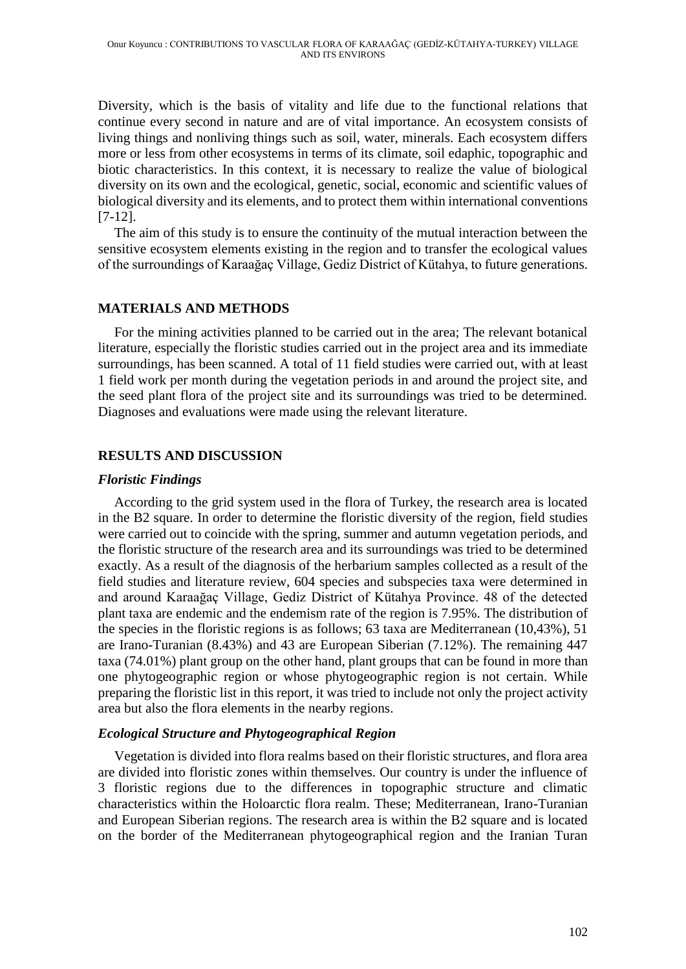Diversity, which is the basis of vitality and life due to the functional relations that continue every second in nature and are of vital importance. An ecosystem consists of living things and nonliving things such as soil, water, minerals. Each ecosystem differs more or less from other ecosystems in terms of its climate, soil edaphic, topographic and biotic characteristics. In this context, it is necessary to realize the value of biological diversity on its own and the ecological, genetic, social, economic and scientific values of biological diversity and its elements, and to protect them within international conventions [7-12].

The aim of this study is to ensure the continuity of the mutual interaction between the sensitive ecosystem elements existing in the region and to transfer the ecological values of the surroundings of Karaağaç Village, Gediz District of Kütahya, to future generations.

## **MATERIALS AND METHODS**

For the mining activities planned to be carried out in the area; The relevant botanical literature, especially the floristic studies carried out in the project area and its immediate surroundings, has been scanned. A total of 11 field studies were carried out, with at least 1 field work per month during the vegetation periods in and around the project site, and the seed plant flora of the project site and its surroundings was tried to be determined. Diagnoses and evaluations were made using the relevant literature.

## **RESULTS AND DISCUSSION**

## *Floristic Findings*

According to the grid system used in the flora of Turkey, the research area is located in the B2 square. In order to determine the floristic diversity of the region, field studies were carried out to coincide with the spring, summer and autumn vegetation periods, and the floristic structure of the research area and its surroundings was tried to be determined exactly. As a result of the diagnosis of the herbarium samples collected as a result of the field studies and literature review, 604 species and subspecies taxa were determined in and around Karaağaç Village, Gediz District of Kütahya Province. 48 of the detected plant taxa are endemic and the endemism rate of the region is 7.95%. The distribution of the species in the floristic regions is as follows; 63 taxa are Mediterranean (10,43%), 51 are Irano-Turanian (8.43%) and 43 are European Siberian (7.12%). The remaining 447 taxa (74.01%) plant group on the other hand, plant groups that can be found in more than one phytogeographic region or whose phytogeographic region is not certain. While preparing the floristic list in this report, it was tried to include not only the project activity area but also the flora elements in the nearby regions.

### *Ecological Structure and Phytogeographical Region*

Vegetation is divided into flora realms based on their floristic structures, and flora area are divided into floristic zones within themselves. Our country is under the influence of 3 floristic regions due to the differences in topographic structure and climatic characteristics within the Holoarctic flora realm. These; Mediterranean, Irano-Turanian and European Siberian regions. The research area is within the B2 square and is located on the border of the Mediterranean phytogeographical region and the Iranian Turan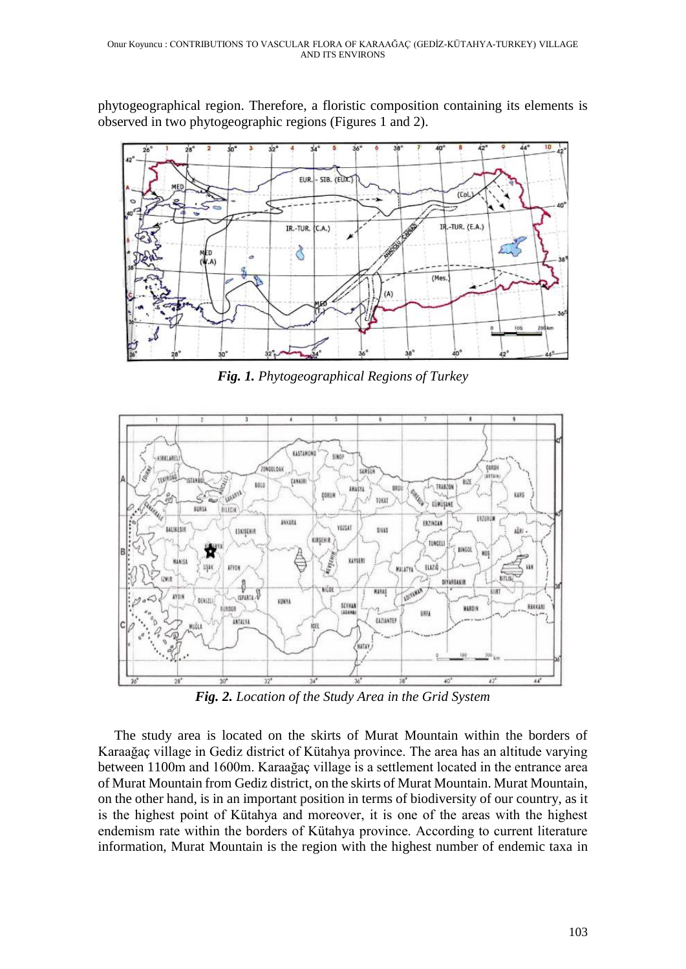phytogeographical region. Therefore, a floristic composition containing its elements is observed in two phytogeographic regions (Figures 1 and 2).



*Fig. 1. Phytogeographical Regions of Turkey*



*Fig. 2. Location of the Study Area in the Grid System*

The study area is located on the skirts of Murat Mountain within the borders of Karaağaç village in Gediz district of Kütahya province. The area has an altitude varying between 1100m and 1600m. Karaağaç village is a settlement located in the entrance area of Murat Mountain from Gediz district, on the skirts of Murat Mountain. Murat Mountain, on the other hand, is in an important position in terms of biodiversity of our country, as it is the highest point of Kütahya and moreover, it is one of the areas with the highest endemism rate within the borders of Kütahya province. According to current literature information, Murat Mountain is the region with the highest number of endemic taxa in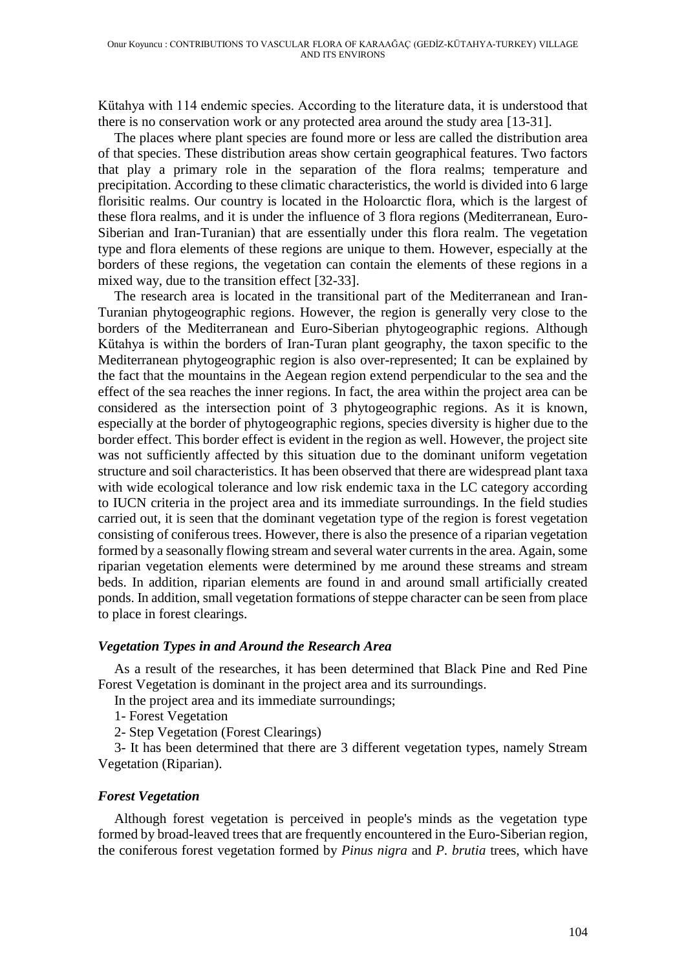Kütahya with 114 endemic species. According to the literature data, it is understood that there is no conservation work or any protected area around the study area [13-31].

The places where plant species are found more or less are called the distribution area of that species. These distribution areas show certain geographical features. Two factors that play a primary role in the separation of the flora realms; temperature and precipitation. According to these climatic characteristics, the world is divided into 6 large florisitic realms. Our country is located in the Holoarctic flora, which is the largest of these flora realms, and it is under the influence of 3 flora regions (Mediterranean, Euro-Siberian and Iran-Turanian) that are essentially under this flora realm. The vegetation type and flora elements of these regions are unique to them. However, especially at the borders of these regions, the vegetation can contain the elements of these regions in a mixed way, due to the transition effect [32-33].

The research area is located in the transitional part of the Mediterranean and Iran-Turanian phytogeographic regions. However, the region is generally very close to the borders of the Mediterranean and Euro-Siberian phytogeographic regions. Although Kütahya is within the borders of Iran-Turan plant geography, the taxon specific to the Mediterranean phytogeographic region is also over-represented; It can be explained by the fact that the mountains in the Aegean region extend perpendicular to the sea and the effect of the sea reaches the inner regions. In fact, the area within the project area can be considered as the intersection point of 3 phytogeographic regions. As it is known, especially at the border of phytogeographic regions, species diversity is higher due to the border effect. This border effect is evident in the region as well. However, the project site was not sufficiently affected by this situation due to the dominant uniform vegetation structure and soil characteristics. It has been observed that there are widespread plant taxa with wide ecological tolerance and low risk endemic taxa in the LC category according to IUCN criteria in the project area and its immediate surroundings. In the field studies carried out, it is seen that the dominant vegetation type of the region is forest vegetation consisting of coniferous trees. However, there is also the presence of a riparian vegetation formed by a seasonally flowing stream and several water currents in the area. Again, some riparian vegetation elements were determined by me around these streams and stream beds. In addition, riparian elements are found in and around small artificially created ponds. In addition, small vegetation formations of steppe character can be seen from place to place in forest clearings.

### *Vegetation Types in and Around the Research Area*

As a result of the researches, it has been determined that Black Pine and Red Pine Forest Vegetation is dominant in the project area and its surroundings.

In the project area and its immediate surroundings;

1- Forest Vegetation

2- Step Vegetation (Forest Clearings)

3- It has been determined that there are 3 different vegetation types, namely Stream Vegetation (Riparian).

### *Forest Vegetation*

Although forest vegetation is perceived in people's minds as the vegetation type formed by broad-leaved trees that are frequently encountered in the Euro-Siberian region, the coniferous forest vegetation formed by *Pinus nigra* and *P. brutia* trees, which have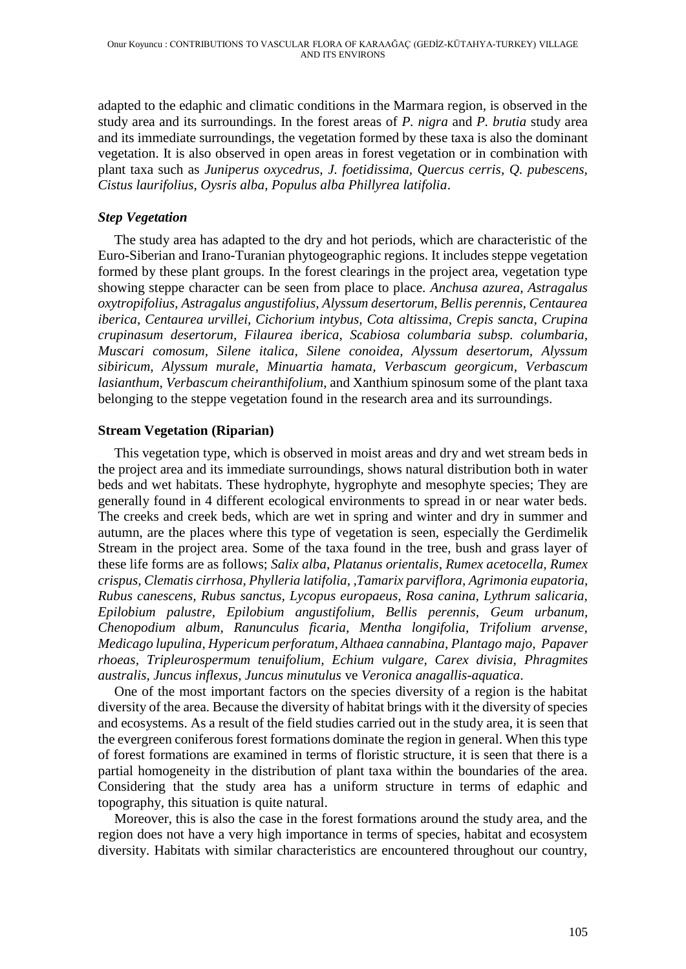adapted to the edaphic and climatic conditions in the Marmara region, is observed in the study area and its surroundings. In the forest areas of *P. nigra* and *P. brutia* study area and its immediate surroundings, the vegetation formed by these taxa is also the dominant vegetation. It is also observed in open areas in forest vegetation or in combination with plant taxa such as *Juniperus oxycedrus, J. foetidissima, Quercus cerris, Q. pubescens, Cistus laurifolius, Oysris alba, Populus alba Phillyrea latifolia*.

## *Step Vegetation*

The study area has adapted to the dry and hot periods, which are characteristic of the Euro-Siberian and Irano-Turanian phytogeographic regions. It includes steppe vegetation formed by these plant groups. In the forest clearings in the project area, vegetation type showing steppe character can be seen from place to place. *Anchusa azurea, Astragalus oxytropifolius, Astragalus angustifolius, Alyssum desertorum, Bellis perennis, Centaurea iberica, Centaurea urvillei, Cichorium intybus, Cota altissima, Crepis sancta, Crupina crupinasum desertorum, Filaurea iberica, Scabiosa columbaria subsp. columbaria, Muscari comosum, Silene italica, Silene conoidea, Alyssum desertorum, Alyssum sibiricum, Alyssum murale, Minuartia hamata, Verbascum georgicum, Verbascum lasianthum, Verbascum cheiranthifolium*, and Xanthium spinosum some of the plant taxa belonging to the steppe vegetation found in the research area and its surroundings.

## **Stream Vegetation (Riparian)**

This vegetation type, which is observed in moist areas and dry and wet stream beds in the project area and its immediate surroundings, shows natural distribution both in water beds and wet habitats. These hydrophyte, hygrophyte and mesophyte species; They are generally found in 4 different ecological environments to spread in or near water beds. The creeks and creek beds, which are wet in spring and winter and dry in summer and autumn, are the places where this type of vegetation is seen, especially the Gerdimelik Stream in the project area. Some of the taxa found in the tree, bush and grass layer of these life forms are as follows; *Salix alba*, *Platanus orientalis*, *Rumex acetocella, Rumex crispus, Clematis cirrhosa, Phylleria latifolia, ,Tamarix parviflora, Agrimonia eupatoria, Rubus canescens, Rubus sanctus, Lycopus europaeus, Rosa canina, Lythrum salicaria, Epilobium palustre, Epilobium angustifolium, Bellis perennis, Geum urbanum, Chenopodium album, Ranunculus ficaria, Mentha longifolia, Trifolium arvense, Medicago lupulina, Hypericum perforatum, Althaea cannabina, Plantago majo, Papaver rhoeas, Tripleurospermum tenuifolium, Echium vulgare, Carex divisia, Phragmites australis, Juncus inflexus, Juncus minutulus* ve *Veronica anagallis-aquatica*.

One of the most important factors on the species diversity of a region is the habitat diversity of the area. Because the diversity of habitat brings with it the diversity of species and ecosystems. As a result of the field studies carried out in the study area, it is seen that the evergreen coniferous forest formations dominate the region in general. When this type of forest formations are examined in terms of floristic structure, it is seen that there is a partial homogeneity in the distribution of plant taxa within the boundaries of the area. Considering that the study area has a uniform structure in terms of edaphic and topography, this situation is quite natural.

Moreover, this is also the case in the forest formations around the study area, and the region does not have a very high importance in terms of species, habitat and ecosystem diversity. Habitats with similar characteristics are encountered throughout our country,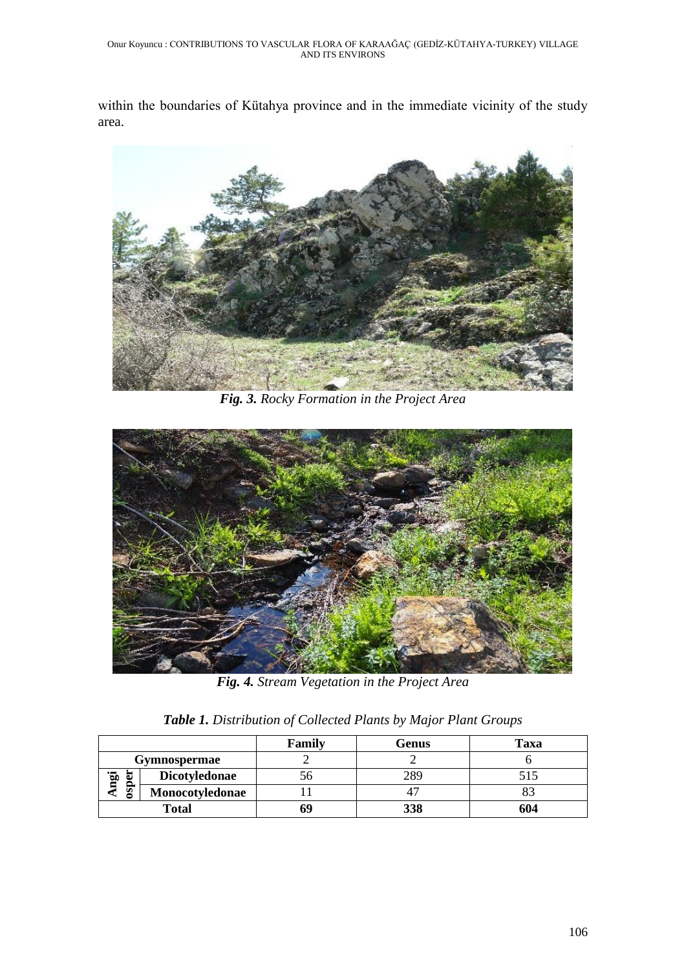within the boundaries of Kütahya province and in the immediate vicinity of the study area.



*Fig. 3. Rocky Formation in the Project Area*



*Fig. 4. Stream Vegetation in the Project Area*

|  | Table 1. Distribution of Collected Plants by Major Plant Groups |  |  |  |
|--|-----------------------------------------------------------------|--|--|--|
|  |                                                                 |  |  |  |

|                        |                 | Family | Genus | Taxa |
|------------------------|-----------------|--------|-------|------|
| Gymnospermae           |                 |        |       |      |
| ngi<br>暠<br><b>QSO</b> | Dicotyledonae   | n      | 289   |      |
|                        | Monocotyledonae |        |       |      |
| <b>Total</b>           |                 | 69     | 338   | 604  |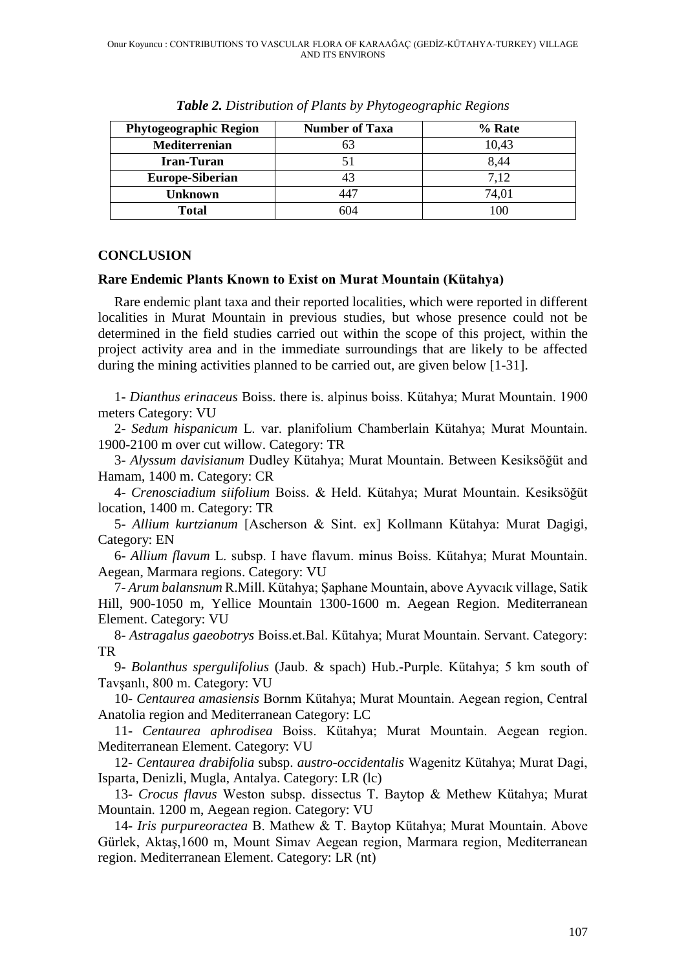| <b>Phytogeographic Region</b> | <b>Number of Taxa</b> | % Rate |
|-------------------------------|-----------------------|--------|
| Mediterrenian                 | 63                    | 10,43  |
| <b>Iran-Turan</b>             |                       | 8,44   |
| <b>Europe-Siberian</b>        | 43                    | 7,12   |
| Unknown                       | 447                   | 74,01  |
| <b>Total</b>                  | 604                   | 100    |

*Table 2. Distribution of Plants by Phytogeographic Regions*

## **CONCLUSION**

## **Rare Endemic Plants Known to Exist on Murat Mountain (Kütahya)**

Rare endemic plant taxa and their reported localities, which were reported in different localities in Murat Mountain in previous studies, but whose presence could not be determined in the field studies carried out within the scope of this project, within the project activity area and in the immediate surroundings that are likely to be affected during the mining activities planned to be carried out, are given below [1-31].

1- *Dianthus erinaceus* Boiss. there is. alpinus boiss. Kütahya; Murat Mountain. 1900 meters Category: VU

2- *Sedum hispanicum* L. var. planifolium Chamberlain Kütahya; Murat Mountain. 1900-2100 m over cut willow. Category: TR

3- *Alyssum davisianum* Dudley Kütahya; Murat Mountain. Between Kesiksöğüt and Hamam, 1400 m. Category: CR

4- *Crenosciadium siifolium* Boiss. & Held. Kütahya; Murat Mountain. Kesiksöğüt location, 1400 m. Category: TR

5- *Allium kurtzianum* [Ascherson & Sint. ex] Kollmann Kütahya: Murat Dagigi, Category: EN

6- *Allium flavum* L. subsp. I have flavum. minus Boiss. Kütahya; Murat Mountain. Aegean, Marmara regions. Category: VU

7- *Arum balansnum* R.Mill. Kütahya; Şaphane Mountain, above Ayvacık village, Satik Hill, 900-1050 m, Yellice Mountain 1300-1600 m. Aegean Region. Mediterranean Element. Category: VU

8- *Astragalus gaeobotrys* Boiss.et.Bal. Kütahya; Murat Mountain. Servant. Category: TR

9- *Bolanthus spergulifolius* (Jaub. & spach) Hub.-Purple. Kütahya; 5 km south of Tavşanlı, 800 m. Category: VU

10- *Centaurea amasiensis* Bornm Kütahya; Murat Mountain. Aegean region, Central Anatolia region and Mediterranean Category: LC

11- *Centaurea aphrodisea* Boiss. Kütahya; Murat Mountain. Aegean region. Mediterranean Element. Category: VU

12- *Centaurea drabifolia* subsp. *austro-occidentalis* Wagenitz Kütahya; Murat Dagi, Isparta, Denizli, Mugla, Antalya. Category: LR (lc)

13- *Crocus flavus* Weston subsp. dissectus T. Baytop & Methew Kütahya; Murat Mountain. 1200 m, Aegean region. Category: VU

14- *Iris purpureoractea* B. Mathew & T. Baytop Kütahya; Murat Mountain. Above Gürlek, Aktaş,1600 m, Mount Simav Aegean region, Marmara region, Mediterranean region. Mediterranean Element. Category: LR (nt)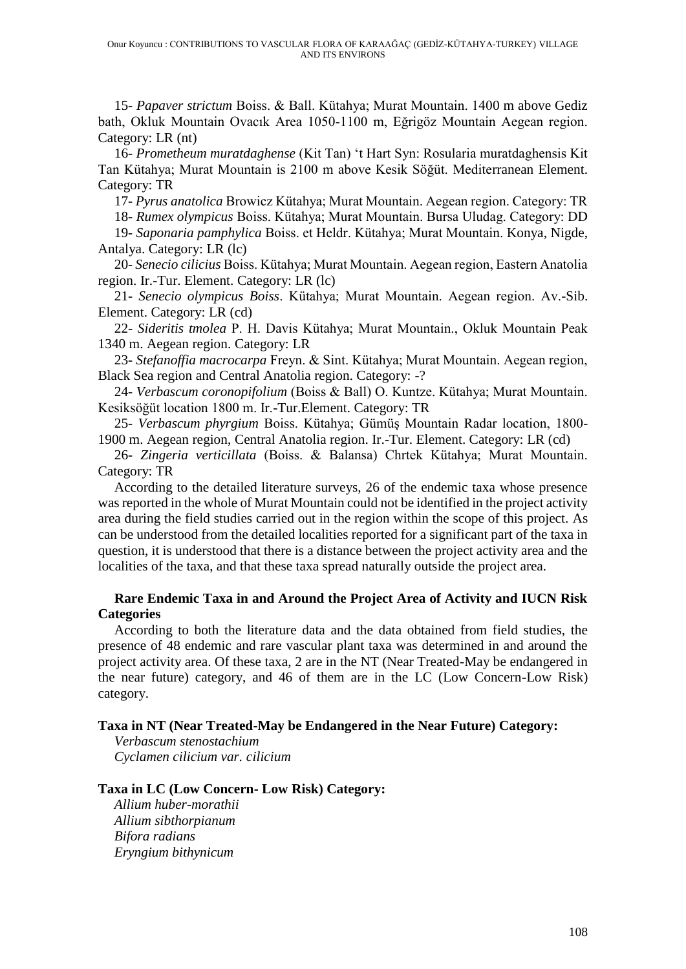15- *Papaver strictum* Boiss. & Ball. Kütahya; Murat Mountain. 1400 m above Gediz bath, Okluk Mountain Ovacık Area 1050-1100 m, Eğrigöz Mountain Aegean region. Category: LR (nt)

16- *Prometheum muratdaghense* (Kit Tan) 't Hart Syn: Rosularia muratdaghensis Kit Tan Kütahya; Murat Mountain is 2100 m above Kesik Söğüt. Mediterranean Element. Category: TR

17- *Pyrus anatolica* Browicz Kütahya; Murat Mountain. Aegean region. Category: TR

18- *Rumex olympicus* Boiss. Kütahya; Murat Mountain. Bursa Uludag. Category: DD 19- *Saponaria pamphylica* Boiss. et Heldr. Kütahya; Murat Mountain. Konya, Nigde,

Antalya. Category: LR (lc)

20- *Senecio cilicius* Boiss. Kütahya; Murat Mountain. Aegean region, Eastern Anatolia region. Ir.-Tur. Element. Category: LR (lc)

21- *Senecio olympicus Boiss*. Kütahya; Murat Mountain. Aegean region. Av.-Sib. Element. Category: LR (cd)

22- *Sideritis tmolea* P. H. Davis Kütahya; Murat Mountain., Okluk Mountain Peak 1340 m. Aegean region. Category: LR

23- *Stefanoffia macrocarpa* Freyn. & Sint. Kütahya; Murat Mountain. Aegean region, Black Sea region and Central Anatolia region. Category: -?

24- *Verbascum coronopifolium* (Boiss & Ball) O. Kuntze. Kütahya; Murat Mountain. Kesiksöğüt location 1800 m. Ir.-Tur.Element. Category: TR

25- *Verbascum phyrgium* Boiss. Kütahya; Gümüş Mountain Radar location, 1800- 1900 m. Aegean region, Central Anatolia region. Ir.-Tur. Element. Category: LR (cd)

26- *Zingeria verticillata* (Boiss. & Balansa) Chrtek Kütahya; Murat Mountain. Category: TR

According to the detailed literature surveys, 26 of the endemic taxa whose presence was reported in the whole of Murat Mountain could not be identified in the project activity area during the field studies carried out in the region within the scope of this project. As can be understood from the detailed localities reported for a significant part of the taxa in question, it is understood that there is a distance between the project activity area and the localities of the taxa, and that these taxa spread naturally outside the project area.

## **Rare Endemic Taxa in and Around the Project Area of Activity and IUCN Risk Categories**

According to both the literature data and the data obtained from field studies, the presence of 48 endemic and rare vascular plant taxa was determined in and around the project activity area. Of these taxa, 2 are in the NT (Near Treated-May be endangered in the near future) category, and 46 of them are in the LC (Low Concern-Low Risk) category.

## **Taxa in NT (Near Treated-May be Endangered in the Near Future) Category:**

*Verbascum stenostachium Cyclamen cilicium var. cilicium*

## **Taxa in LC (Low Concern- Low Risk) Category:**

*Allium huber-morathii Allium sibthorpianum Bifora radians Eryngium bithynicum*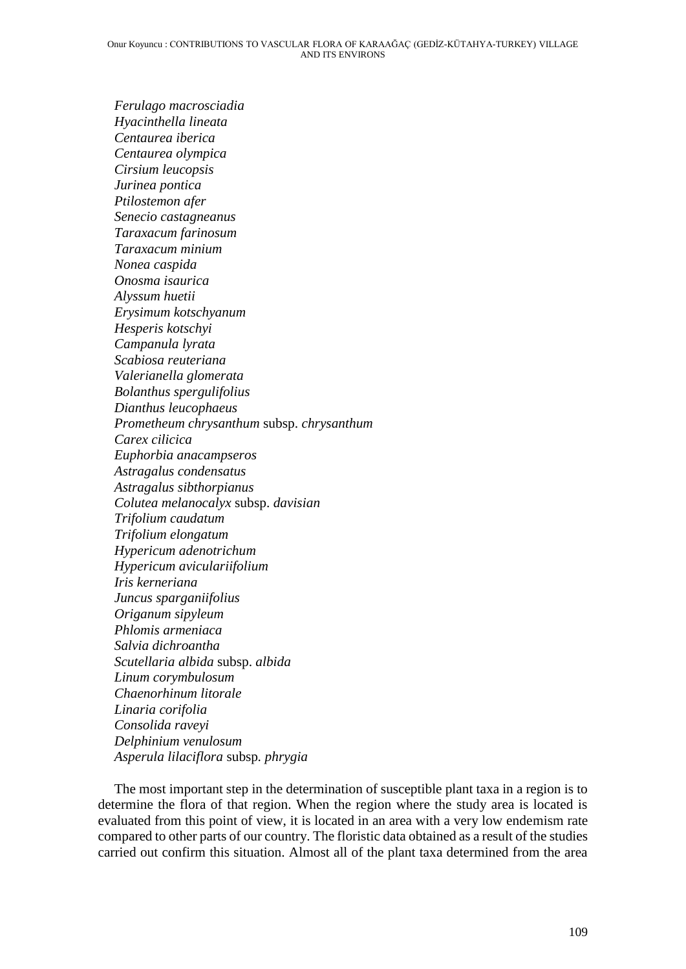*Ferulago macrosciadia Hyacinthella lineata Centaurea iberica Centaurea olympica Cirsium leucopsis Jurinea pontica Ptilostemon afer Senecio castagneanus Taraxacum farinosum Taraxacum minium Nonea caspida Onosma isaurica Alyssum huetii Erysimum kotschyanum Hesperis kotschyi Campanula lyrata Scabiosa reuteriana Valerianella glomerata Bolanthus spergulifolius Dianthus leucophaeus Prometheum chrysanthum* subsp. *chrysanthum Carex cilicica Euphorbia anacampseros Astragalus condensatus Astragalus sibthorpianus Colutea melanocalyx* subsp. *davisian Trifolium caudatum Trifolium elongatum Hypericum adenotrichum Hypericum aviculariifolium Iris kerneriana Juncus sparganiifolius Origanum sipyleum Phlomis armeniaca Salvia dichroantha Scutellaria albida* subsp. *albida Linum corymbulosum Chaenorhinum litorale Linaria corifolia Consolida raveyi Delphinium venulosum Asperula lilaciflora* subsp*. phrygia*

The most important step in the determination of susceptible plant taxa in a region is to determine the flora of that region. When the region where the study area is located is evaluated from this point of view, it is located in an area with a very low endemism rate compared to other parts of our country. The floristic data obtained as a result of the studies carried out confirm this situation. Almost all of the plant taxa determined from the area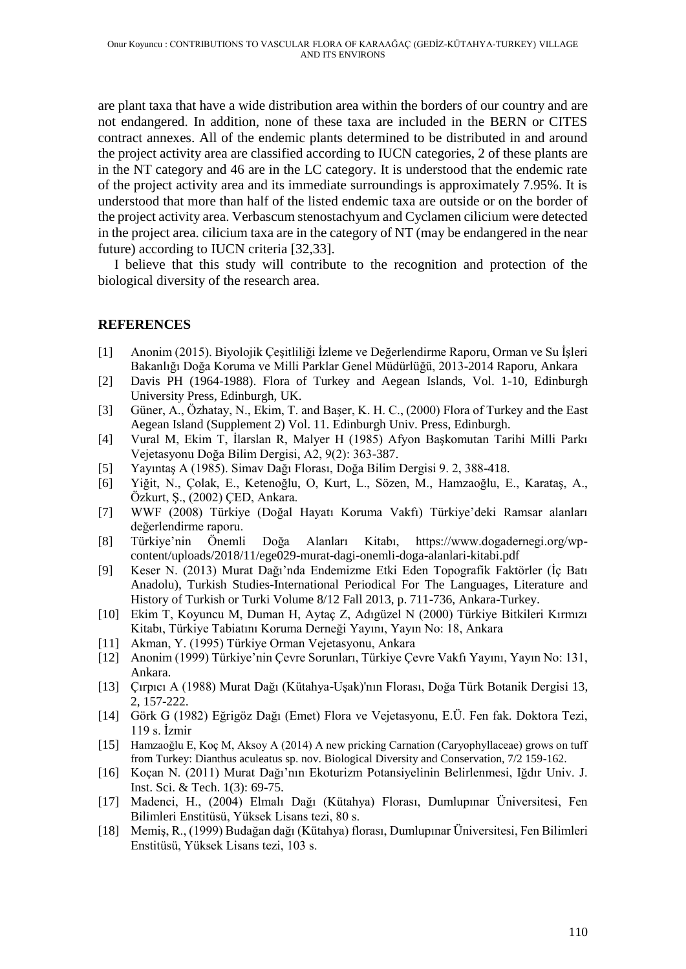are plant taxa that have a wide distribution area within the borders of our country and are not endangered. In addition, none of these taxa are included in the BERN or CITES contract annexes. All of the endemic plants determined to be distributed in and around the project activity area are classified according to IUCN categories, 2 of these plants are in the NT category and 46 are in the LC category. It is understood that the endemic rate of the project activity area and its immediate surroundings is approximately 7.95%. It is understood that more than half of the listed endemic taxa are outside or on the border of the project activity area. Verbascum stenostachyum and Cyclamen cilicium were detected in the project area. cilicium taxa are in the category of NT (may be endangered in the near future) according to IUCN criteria [32,33].

I believe that this study will contribute to the recognition and protection of the biological diversity of the research area.

## **REFERENCES**

- [1] Anonim (2015). Biyolojik Çeşitliliği İzleme ve Değerlendirme Raporu, Orman ve Su İşleri Bakanlığı Doğa Koruma ve Milli Parklar Genel Müdürlüğü, 2013-2014 Raporu, Ankara
- [2] Davis PH (1964-1988). Flora of Turkey and Aegean Islands, Vol. 1-10, Edinburgh University Press, Edinburgh, UK.
- [3] Güner, A., Özhatay, N., Ekim, T. and Başer, K. H. C., (2000) Flora of Turkey and the East Aegean Island (Supplement 2) Vol. 11. Edinburgh Univ. Press, Edinburgh.
- [4] Vural M, Ekim T, İlarslan R, Malyer H (1985) Afyon Başkomutan Tarihi Milli Parkı Vejetasyonu Doğa Bilim Dergisi, A2, 9(2): 363-387.
- [5] Yayıntaş A (1985). Simav Dağı Florası, Doğa Bilim Dergisi 9. 2, 388-418.
- [6] Yiğit, N., Çolak, E., Ketenoğlu, O, Kurt, L., Sözen, M., Hamzaoğlu, E., Karataş, A., Özkurt, Ş., (2002) ÇED, Ankara.
- [7] WWF (2008) Türkiye (Doğal Hayatı Koruma Vakfı) Türkiye'deki Ramsar alanları değerlendirme raporu.
- [8] Türkiye'nin Önemli Doğa Alanları Kitabı, https://www.dogadernegi.org/wpcontent/uploads/2018/11/ege029-murat-dagi-onemli-doga-alanlari-kitabi.pdf
- [9] Keser N. (2013) Murat Dağı'nda Endemizme Etki Eden Topografik Faktörler (İç Batı Anadolu), Turkish Studies-International Periodical For The Languages, Literature and History of Turkish or Turki Volume 8/12 Fall 2013, p. 711-736, Ankara-Turkey.
- [10] Ekim T, Koyuncu M, Duman H, Aytaç Z, Adıgüzel N (2000) Türkiye Bitkileri Kırmızı Kitabı, Türkiye Tabiatını Koruma Derneği Yayını, Yayın No: 18, Ankara
- [11] Akman, Y. (1995) Türkiye Orman Vejetasyonu, Ankara
- [12] Anonim (1999) Türkiye'nin Çevre Sorunları, Türkiye Çevre Vakfı Yayını, Yayın No: 131, Ankara.
- [13] Çırpıcı A (1988) Murat Dağı (Kütahya-Uşak)'nın Florası, Doğa Türk Botanik Dergisi 13, 2, 157-222.
- [14] Görk G (1982) Eğrigöz Dağı (Emet) Flora ve Vejetasyonu, E.Ü. Fen fak. Doktora Tezi, 119 s. İzmir
- [15] Hamzaoğlu E, Koç M, Aksoy A (2014) A new pricking Carnation (Caryophyllaceae) grows on tuff from Turkey: Dianthus aculeatus sp. nov. Biological Diversity and Conservation, 7/2 159-162.
- [16] Koçan N. (2011) Murat Dağı'nın Ekoturizm Potansiyelinin Belirlenmesi, Iğdır Univ. J. Inst. Sci. & Tech. 1(3): 69-75.
- [17] Madenci, H., (2004) Elmalı Dağı (Kütahya) Florası, Dumlupınar Üniversitesi, Fen Bilimleri Enstitüsü, Yüksek Lisans tezi, 80 s.
- [18] Memiş, R., (1999) Budağan dağı (Kütahya) florası, Dumlupınar Üniversitesi, Fen Bilimleri Enstitüsü, Yüksek Lisans tezi, 103 s.